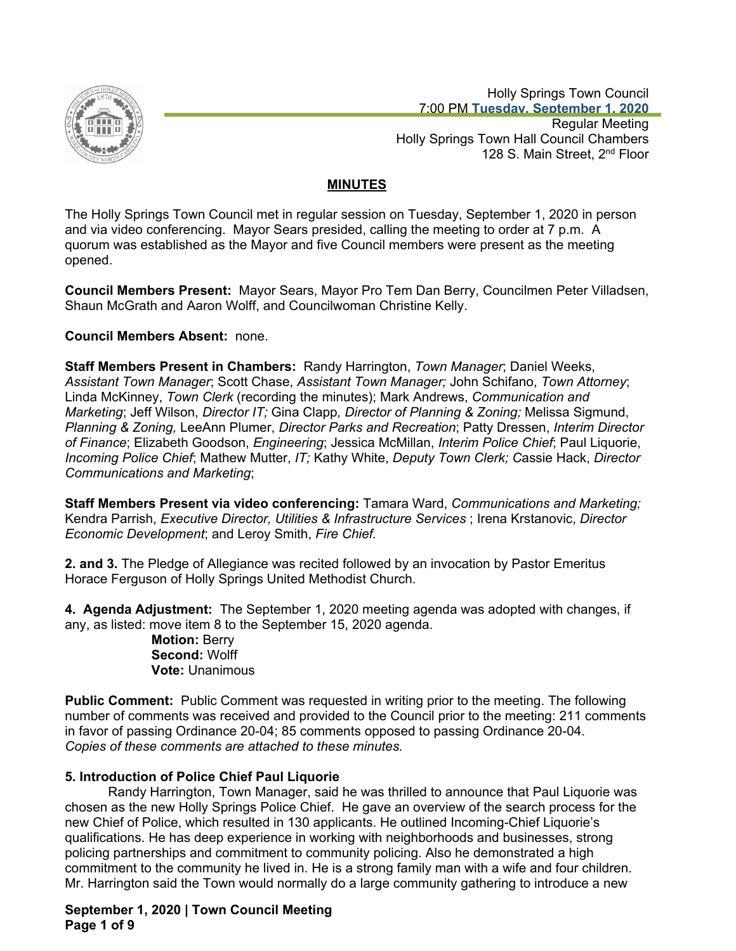

 Holly Springs Town Council 7:00 PM **Tuesday, September 1, 2020**

Regular Meeting Holly Springs Town Hall Council Chambers 128 S. Main Street, 2<sup>nd</sup> Floor

# **MINUTES**

The Holly Springs Town Council met in regular session on Tuesday, September 1, 2020 in person and via video conferencing. Mayor Sears presided, calling the meeting to order at 7 p.m. A quorum was established as the Mayor and five Council members were present as the meeting opened.

**Council Members Present:** Mayor Sears, Mayor Pro Tem Dan Berry, Councilmen Peter Villadsen, Shaun McGrath and Aaron Wolff, and Councilwoman Christine Kelly.

# **Council Members Absent:** none.

**Staff Members Present in Chambers:** Randy Harrington, *Town Manager*; Daniel Weeks, *Assistant Town Manager*; Scott Chase, *Assistant Town Manager;* John Schifano, *Town Attorney*; Linda McKinney, *Town Clerk* (recording the minutes); Mark Andrews, *Communication and Marketing*; Jeff Wilson, *Director IT;* Gina Clapp*, Director of Planning & Zoning;* Melissa Sigmund, *Planning & Zoning,* LeeAnn Plumer, *Director Parks and Recreation*; Patty Dressen, *Interim Director of Finance*; Elizabeth Goodson, *Engineering*; Jessica McMillan, *Interim Police Chief*; Paul Liquorie, *Incoming Police Chief*; Mathew Mutter, *IT;* Kathy White, *Deputy Town Clerk; C*assie Hack, *Director Communications and Marketing*;

**Staff Members Present via video conferencing:** Tamara Ward, *Communications and Marketing;*  Kendra Parrish, *Executive Director, Utilities & Infrastructure Services* ; Irena Krstanovic, *Director Economic Development*; and Leroy Smith, *Fire Chief.*

**2. and 3.** The Pledge of Allegiance was recited followed by an invocation by Pastor Emeritus Horace Ferguson of Holly Springs United Methodist Church.

**4. Agenda Adjustment:** The September 1, 2020 meeting agenda was adopted with changes, if any, as listed: move item 8 to the September 15, 2020 agenda.

**Motion:** Berry **Second:** Wolff **Vote:** Unanimous

**Public Comment:** Public Comment was requested in writing prior to the meeting. The following number of comments was received and provided to the Council prior to the meeting: 211 comments in favor of passing Ordinance 20-04; 85 comments opposed to passing Ordinance 20-04. *Copies of these comments are attached to these minutes.*

# **5. Introduction of Police Chief Paul Liquorie**

Randy Harrington, Town Manager, said he was thrilled to announce that Paul Liquorie was chosen as the new Holly Springs Police Chief. He gave an overview of the search process for the new Chief of Police, which resulted in 130 applicants. He outlined Incoming-Chief Liquorie's qualifications. He has deep experience in working with neighborhoods and businesses, strong policing partnerships and commitment to community policing. Also he demonstrated a high commitment to the community he lived in. He is a strong family man with a wife and four children. Mr. Harrington said the Town would normally do a large community gathering to introduce a new

# **September 1, 2020 | Town Council Meeting Page 1 of 9**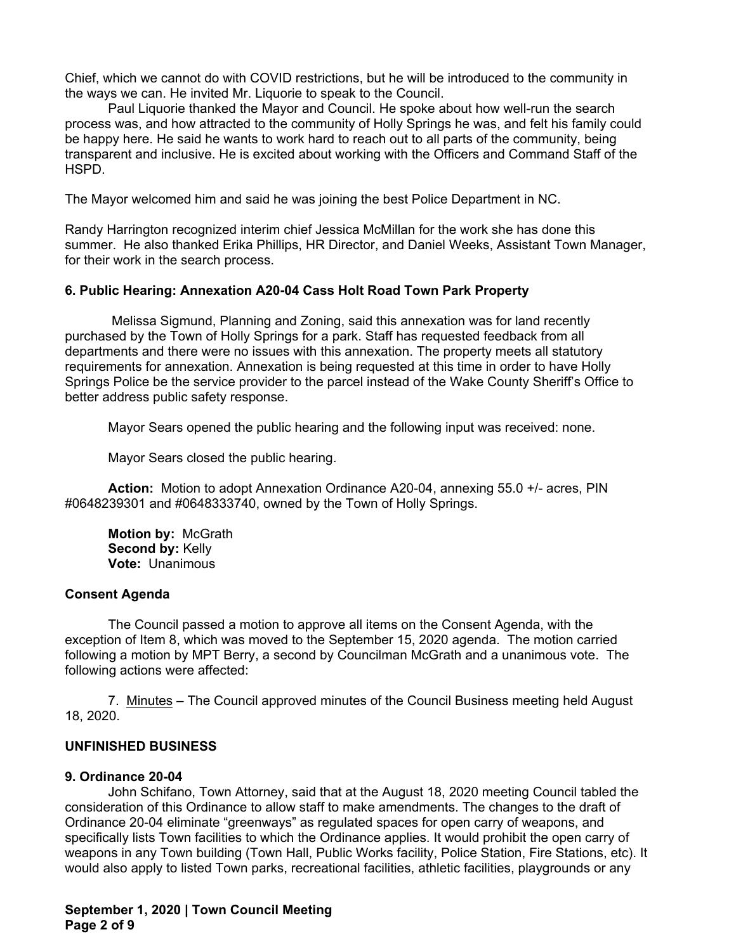Chief, which we cannot do with COVID restrictions, but he will be introduced to the community in the ways we can. He invited Mr. Liquorie to speak to the Council.

Paul Liquorie thanked the Mayor and Council. He spoke about how well-run the search process was, and how attracted to the community of Holly Springs he was, and felt his family could be happy here. He said he wants to work hard to reach out to all parts of the community, being transparent and inclusive. He is excited about working with the Officers and Command Staff of the HSPD.

The Mayor welcomed him and said he was joining the best Police Department in NC.

Randy Harrington recognized interim chief Jessica McMillan for the work she has done this summer. He also thanked Erika Phillips, HR Director, and Daniel Weeks, Assistant Town Manager, for their work in the search process.

## **6. Public Hearing: Annexation A20-04 Cass Holt Road Town Park Property**

 Melissa Sigmund, Planning and Zoning, said this annexation was for land recently purchased by the Town of Holly Springs for a park. Staff has requested feedback from all departments and there were no issues with this annexation. The property meets all statutory requirements for annexation. Annexation is being requested at this time in order to have Holly Springs Police be the service provider to the parcel instead of the Wake County Sheriff's Office to better address public safety response.

Mayor Sears opened the public hearing and the following input was received: none.

Mayor Sears closed the public hearing.

**Action:** Motion to adopt Annexation Ordinance A20-04, annexing 55.0 +/- acres, PIN #0648239301 and #0648333740, owned by the Town of Holly Springs.

**Motion by:** McGrath **Second by:** Kelly **Vote:** Unanimous

#### **Consent Agenda**

The Council passed a motion to approve all items on the Consent Agenda, with the exception of Item 8, which was moved to the September 15, 2020 agenda. The motion carried following a motion by MPT Berry, a second by Councilman McGrath and a unanimous vote. The following actions were affected:

7. Minutes – The Council approved minutes of the Council Business meeting held August 18, 2020.

## **UNFINISHED BUSINESS**

#### **9. Ordinance 20-04**

John Schifano, Town Attorney, said that at the August 18, 2020 meeting Council tabled the consideration of this Ordinance to allow staff to make amendments. The changes to the draft of Ordinance 20-04 eliminate "greenways" as regulated spaces for open carry of weapons, and specifically lists Town facilities to which the Ordinance applies. It would prohibit the open carry of weapons in any Town building (Town Hall, Public Works facility, Police Station, Fire Stations, etc). It would also apply to listed Town parks, recreational facilities, athletic facilities, playgrounds or any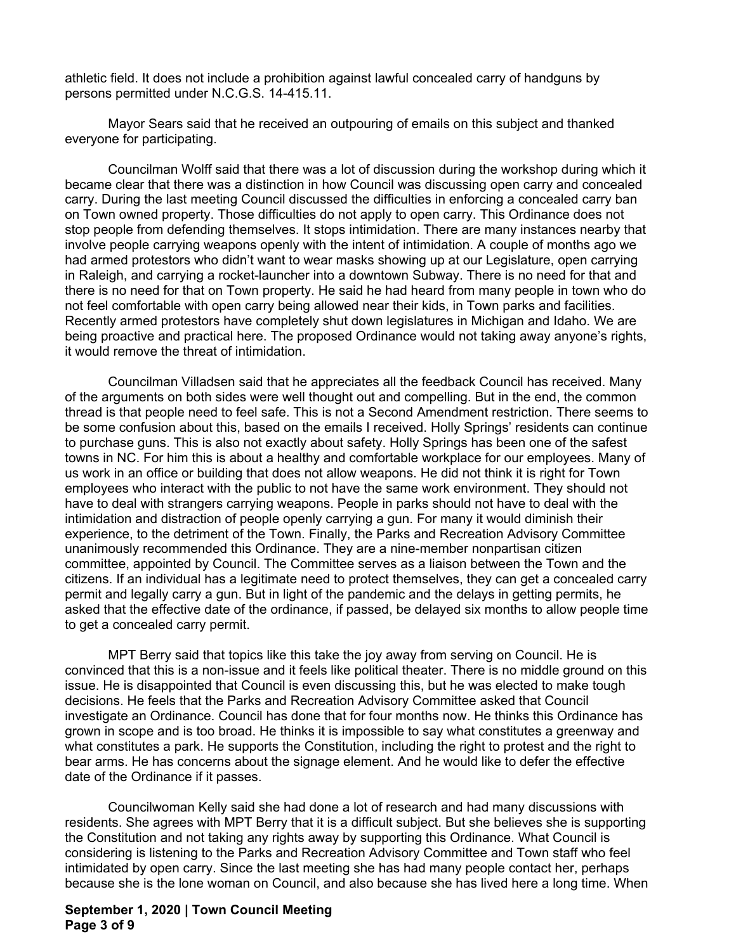athletic field. It does not include a prohibition against lawful concealed carry of handguns by persons permitted under N.C.G.S. 14-415.11.

Mayor Sears said that he received an outpouring of emails on this subject and thanked everyone for participating.

Councilman Wolff said that there was a lot of discussion during the workshop during which it became clear that there was a distinction in how Council was discussing open carry and concealed carry. During the last meeting Council discussed the difficulties in enforcing a concealed carry ban on Town owned property. Those difficulties do not apply to open carry. This Ordinance does not stop people from defending themselves. It stops intimidation. There are many instances nearby that involve people carrying weapons openly with the intent of intimidation. A couple of months ago we had armed protestors who didn't want to wear masks showing up at our Legislature, open carrying in Raleigh, and carrying a rocket-launcher into a downtown Subway. There is no need for that and there is no need for that on Town property. He said he had heard from many people in town who do not feel comfortable with open carry being allowed near their kids, in Town parks and facilities. Recently armed protestors have completely shut down legislatures in Michigan and Idaho. We are being proactive and practical here. The proposed Ordinance would not taking away anyone's rights, it would remove the threat of intimidation.

Councilman Villadsen said that he appreciates all the feedback Council has received. Many of the arguments on both sides were well thought out and compelling. But in the end, the common thread is that people need to feel safe. This is not a Second Amendment restriction. There seems to be some confusion about this, based on the emails I received. Holly Springs' residents can continue to purchase guns. This is also not exactly about safety. Holly Springs has been one of the safest towns in NC. For him this is about a healthy and comfortable workplace for our employees. Many of us work in an office or building that does not allow weapons. He did not think it is right for Town employees who interact with the public to not have the same work environment. They should not have to deal with strangers carrying weapons. People in parks should not have to deal with the intimidation and distraction of people openly carrying a gun. For many it would diminish their experience, to the detriment of the Town. Finally, the Parks and Recreation Advisory Committee unanimously recommended this Ordinance. They are a nine-member nonpartisan citizen committee, appointed by Council. The Committee serves as a liaison between the Town and the citizens. If an individual has a legitimate need to protect themselves, they can get a concealed carry permit and legally carry a gun. But in light of the pandemic and the delays in getting permits, he asked that the effective date of the ordinance, if passed, be delayed six months to allow people time to get a concealed carry permit.

MPT Berry said that topics like this take the joy away from serving on Council. He is convinced that this is a non-issue and it feels like political theater. There is no middle ground on this issue. He is disappointed that Council is even discussing this, but he was elected to make tough decisions. He feels that the Parks and Recreation Advisory Committee asked that Council investigate an Ordinance. Council has done that for four months now. He thinks this Ordinance has grown in scope and is too broad. He thinks it is impossible to say what constitutes a greenway and what constitutes a park. He supports the Constitution, including the right to protest and the right to bear arms. He has concerns about the signage element. And he would like to defer the effective date of the Ordinance if it passes.

Councilwoman Kelly said she had done a lot of research and had many discussions with residents. She agrees with MPT Berry that it is a difficult subject. But she believes she is supporting the Constitution and not taking any rights away by supporting this Ordinance. What Council is considering is listening to the Parks and Recreation Advisory Committee and Town staff who feel intimidated by open carry. Since the last meeting she has had many people contact her, perhaps because she is the lone woman on Council, and also because she has lived here a long time. When

### **September 1, 2020 | Town Council Meeting Page 3 of 9**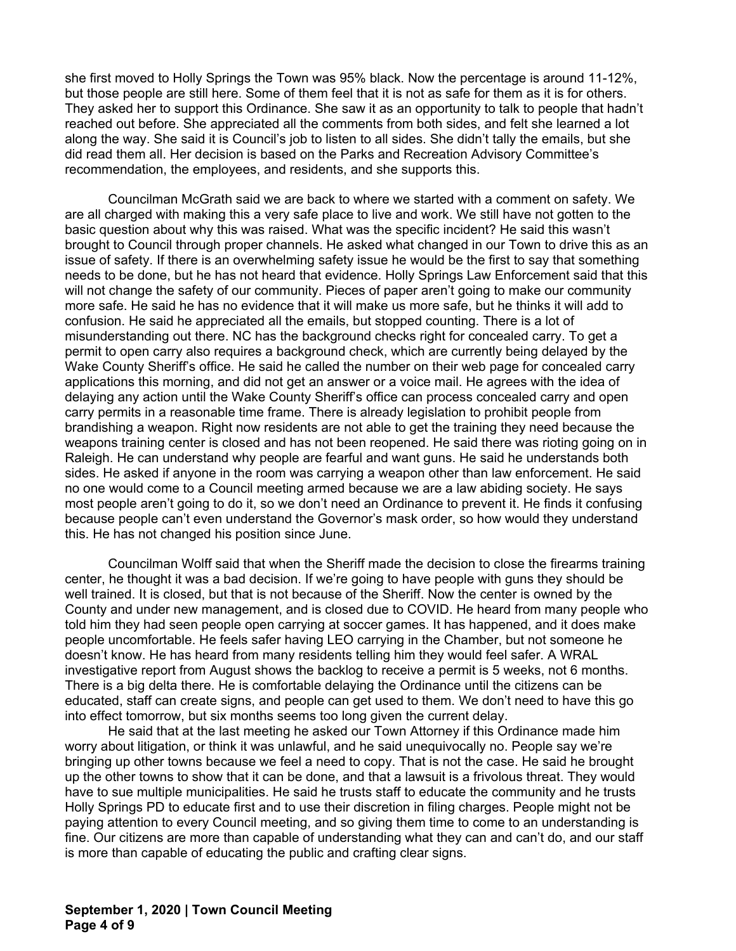she first moved to Holly Springs the Town was 95% black. Now the percentage is around 11-12%, but those people are still here. Some of them feel that it is not as safe for them as it is for others. They asked her to support this Ordinance. She saw it as an opportunity to talk to people that hadn't reached out before. She appreciated all the comments from both sides, and felt she learned a lot along the way. She said it is Council's job to listen to all sides. She didn't tally the emails, but she did read them all. Her decision is based on the Parks and Recreation Advisory Committee's recommendation, the employees, and residents, and she supports this.

Councilman McGrath said we are back to where we started with a comment on safety. We are all charged with making this a very safe place to live and work. We still have not gotten to the basic question about why this was raised. What was the specific incident? He said this wasn't brought to Council through proper channels. He asked what changed in our Town to drive this as an issue of safety. If there is an overwhelming safety issue he would be the first to say that something needs to be done, but he has not heard that evidence. Holly Springs Law Enforcement said that this will not change the safety of our community. Pieces of paper aren't going to make our community more safe. He said he has no evidence that it will make us more safe, but he thinks it will add to confusion. He said he appreciated all the emails, but stopped counting. There is a lot of misunderstanding out there. NC has the background checks right for concealed carry. To get a permit to open carry also requires a background check, which are currently being delayed by the Wake County Sheriff's office. He said he called the number on their web page for concealed carry applications this morning, and did not get an answer or a voice mail. He agrees with the idea of delaying any action until the Wake County Sheriff's office can process concealed carry and open carry permits in a reasonable time frame. There is already legislation to prohibit people from brandishing a weapon. Right now residents are not able to get the training they need because the weapons training center is closed and has not been reopened. He said there was rioting going on in Raleigh. He can understand why people are fearful and want guns. He said he understands both sides. He asked if anyone in the room was carrying a weapon other than law enforcement. He said no one would come to a Council meeting armed because we are a law abiding society. He says most people aren't going to do it, so we don't need an Ordinance to prevent it. He finds it confusing because people can't even understand the Governor's mask order, so how would they understand this. He has not changed his position since June.

Councilman Wolff said that when the Sheriff made the decision to close the firearms training center, he thought it was a bad decision. If we're going to have people with guns they should be well trained. It is closed, but that is not because of the Sheriff. Now the center is owned by the County and under new management, and is closed due to COVID. He heard from many people who told him they had seen people open carrying at soccer games. It has happened, and it does make people uncomfortable. He feels safer having LEO carrying in the Chamber, but not someone he doesn't know. He has heard from many residents telling him they would feel safer. A WRAL investigative report from August shows the backlog to receive a permit is 5 weeks, not 6 months. There is a big delta there. He is comfortable delaying the Ordinance until the citizens can be educated, staff can create signs, and people can get used to them. We don't need to have this go into effect tomorrow, but six months seems too long given the current delay.

He said that at the last meeting he asked our Town Attorney if this Ordinance made him worry about litigation, or think it was unlawful, and he said unequivocally no. People say we're bringing up other towns because we feel a need to copy. That is not the case. He said he brought up the other towns to show that it can be done, and that a lawsuit is a frivolous threat. They would have to sue multiple municipalities. He said he trusts staff to educate the community and he trusts Holly Springs PD to educate first and to use their discretion in filing charges. People might not be paying attention to every Council meeting, and so giving them time to come to an understanding is fine. Our citizens are more than capable of understanding what they can and can't do, and our staff is more than capable of educating the public and crafting clear signs.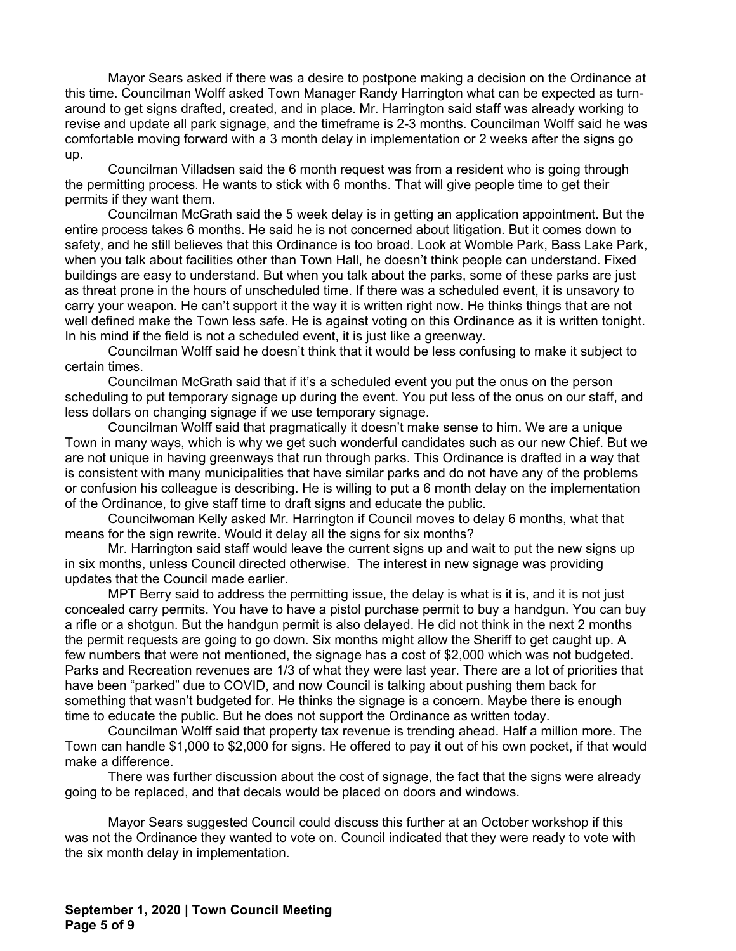Mayor Sears asked if there was a desire to postpone making a decision on the Ordinance at this time. Councilman Wolff asked Town Manager Randy Harrington what can be expected as turnaround to get signs drafted, created, and in place. Mr. Harrington said staff was already working to revise and update all park signage, and the timeframe is 2-3 months. Councilman Wolff said he was comfortable moving forward with a 3 month delay in implementation or 2 weeks after the signs go up.

Councilman Villadsen said the 6 month request was from a resident who is going through the permitting process. He wants to stick with 6 months. That will give people time to get their permits if they want them.

Councilman McGrath said the 5 week delay is in getting an application appointment. But the entire process takes 6 months. He said he is not concerned about litigation. But it comes down to safety, and he still believes that this Ordinance is too broad. Look at Womble Park, Bass Lake Park, when you talk about facilities other than Town Hall, he doesn't think people can understand. Fixed buildings are easy to understand. But when you talk about the parks, some of these parks are just as threat prone in the hours of unscheduled time. If there was a scheduled event, it is unsavory to carry your weapon. He can't support it the way it is written right now. He thinks things that are not well defined make the Town less safe. He is against voting on this Ordinance as it is written tonight. In his mind if the field is not a scheduled event, it is just like a greenway.

Councilman Wolff said he doesn't think that it would be less confusing to make it subject to certain times.

Councilman McGrath said that if it's a scheduled event you put the onus on the person scheduling to put temporary signage up during the event. You put less of the onus on our staff, and less dollars on changing signage if we use temporary signage.

Councilman Wolff said that pragmatically it doesn't make sense to him. We are a unique Town in many ways, which is why we get such wonderful candidates such as our new Chief. But we are not unique in having greenways that run through parks. This Ordinance is drafted in a way that is consistent with many municipalities that have similar parks and do not have any of the problems or confusion his colleague is describing. He is willing to put a 6 month delay on the implementation of the Ordinance, to give staff time to draft signs and educate the public.

Councilwoman Kelly asked Mr. Harrington if Council moves to delay 6 months, what that means for the sign rewrite. Would it delay all the signs for six months?

Mr. Harrington said staff would leave the current signs up and wait to put the new signs up in six months, unless Council directed otherwise. The interest in new signage was providing updates that the Council made earlier.

MPT Berry said to address the permitting issue, the delay is what is it is, and it is not just concealed carry permits. You have to have a pistol purchase permit to buy a handgun. You can buy a rifle or a shotgun. But the handgun permit is also delayed. He did not think in the next 2 months the permit requests are going to go down. Six months might allow the Sheriff to get caught up. A few numbers that were not mentioned, the signage has a cost of \$2,000 which was not budgeted. Parks and Recreation revenues are 1/3 of what they were last year. There are a lot of priorities that have been "parked" due to COVID, and now Council is talking about pushing them back for something that wasn't budgeted for. He thinks the signage is a concern. Maybe there is enough time to educate the public. But he does not support the Ordinance as written today.

Councilman Wolff said that property tax revenue is trending ahead. Half a million more. The Town can handle \$1,000 to \$2,000 for signs. He offered to pay it out of his own pocket, if that would make a difference.

There was further discussion about the cost of signage, the fact that the signs were already going to be replaced, and that decals would be placed on doors and windows.

Mayor Sears suggested Council could discuss this further at an October workshop if this was not the Ordinance they wanted to vote on. Council indicated that they were ready to vote with the six month delay in implementation.

**September 1, 2020 | Town Council Meeting Page 5 of 9**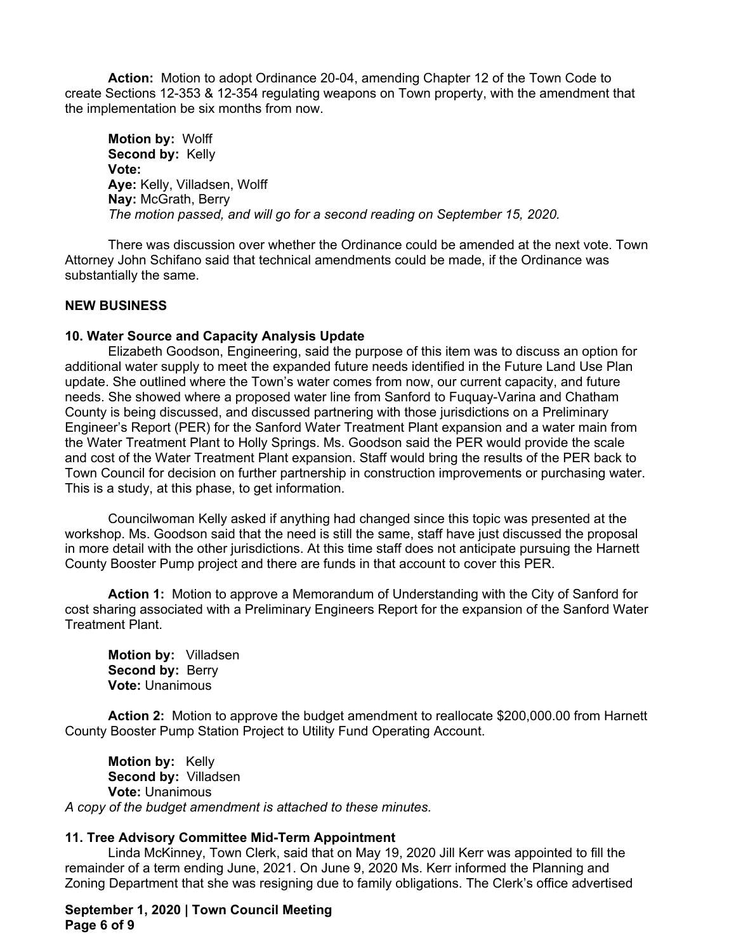**Action:** Motion to adopt Ordinance 20-04, amending Chapter 12 of the Town Code to create Sections 12-353 & 12-354 regulating weapons on Town property, with the amendment that the implementation be six months from now.

**Motion by:** Wolff **Second by:** Kelly **Vote: Aye:** Kelly, Villadsen, Wolff **Nay:** McGrath, Berry *The motion passed, and will go for a second reading on September 15, 2020.* 

There was discussion over whether the Ordinance could be amended at the next vote. Town Attorney John Schifano said that technical amendments could be made, if the Ordinance was substantially the same.

## **NEW BUSINESS**

## **10. Water Source and Capacity Analysis Update**

Elizabeth Goodson, Engineering, said the purpose of this item was to discuss an option for additional water supply to meet the expanded future needs identified in the Future Land Use Plan update. She outlined where the Town's water comes from now, our current capacity, and future needs. She showed where a proposed water line from Sanford to Fuquay-Varina and Chatham County is being discussed, and discussed partnering with those jurisdictions on a Preliminary Engineer's Report (PER) for the Sanford Water Treatment Plant expansion and a water main from the Water Treatment Plant to Holly Springs. Ms. Goodson said the PER would provide the scale and cost of the Water Treatment Plant expansion. Staff would bring the results of the PER back to Town Council for decision on further partnership in construction improvements or purchasing water. This is a study, at this phase, to get information.

Councilwoman Kelly asked if anything had changed since this topic was presented at the workshop. Ms. Goodson said that the need is still the same, staff have just discussed the proposal in more detail with the other jurisdictions. At this time staff does not anticipate pursuing the Harnett County Booster Pump project and there are funds in that account to cover this PER.

**Action 1:** Motion to approve a Memorandum of Understanding with the City of Sanford for cost sharing associated with a Preliminary Engineers Report for the expansion of the Sanford Water Treatment Plant.

**Motion by:** Villadsen **Second by: Berry Vote:** Unanimous

**Action 2:** Motion to approve the budget amendment to reallocate \$200,000.00 from Harnett County Booster Pump Station Project to Utility Fund Operating Account.

**Motion by:** Kelly **Second by:** Villadsen **Vote:** Unanimous *A copy of the budget amendment is attached to these minutes.*

## **11. Tree Advisory Committee Mid-Term Appointment**

Linda McKinney, Town Clerk, said that on May 19, 2020 Jill Kerr was appointed to fill the remainder of a term ending June, 2021. On June 9, 2020 Ms. Kerr informed the Planning and Zoning Department that she was resigning due to family obligations. The Clerk's office advertised

**September 1, 2020 | Town Council Meeting Page 6 of 9**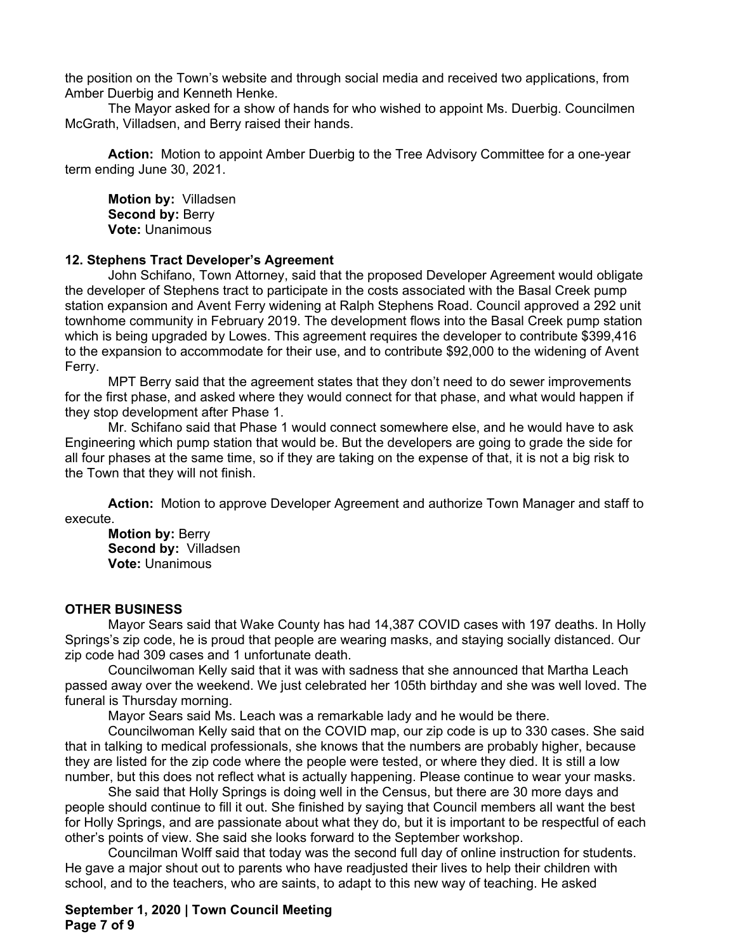the position on the Town's website and through social media and received two applications, from Amber Duerbig and Kenneth Henke.

The Mayor asked for a show of hands for who wished to appoint Ms. Duerbig. Councilmen McGrath, Villadsen, and Berry raised their hands.

**Action:** Motion to appoint Amber Duerbig to the Tree Advisory Committee for a one-year term ending June 30, 2021.

**Motion by:** Villadsen **Second by: Berry Vote:** Unanimous

#### **12. Stephens Tract Developer's Agreement**

John Schifano, Town Attorney, said that the proposed Developer Agreement would obligate the developer of Stephens tract to participate in the costs associated with the Basal Creek pump station expansion and Avent Ferry widening at Ralph Stephens Road. Council approved a 292 unit townhome community in February 2019. The development flows into the Basal Creek pump station which is being upgraded by Lowes. This agreement requires the developer to contribute \$399,416 to the expansion to accommodate for their use, and to contribute \$92,000 to the widening of Avent Ferry.

MPT Berry said that the agreement states that they don't need to do sewer improvements for the first phase, and asked where they would connect for that phase, and what would happen if they stop development after Phase 1.

Mr. Schifano said that Phase 1 would connect somewhere else, and he would have to ask Engineering which pump station that would be. But the developers are going to grade the side for all four phases at the same time, so if they are taking on the expense of that, it is not a big risk to the Town that they will not finish.

**Action:** Motion to approve Developer Agreement and authorize Town Manager and staff to execute.

**Motion by:** Berry **Second by:** Villadsen **Vote:** Unanimous

#### **OTHER BUSINESS**

Mayor Sears said that Wake County has had 14,387 COVID cases with 197 deaths. In Holly Springs's zip code, he is proud that people are wearing masks, and staying socially distanced. Our zip code had 309 cases and 1 unfortunate death.

Councilwoman Kelly said that it was with sadness that she announced that Martha Leach passed away over the weekend. We just celebrated her 105th birthday and she was well loved. The funeral is Thursday morning.

Mayor Sears said Ms. Leach was a remarkable lady and he would be there.

Councilwoman Kelly said that on the COVID map, our zip code is up to 330 cases. She said that in talking to medical professionals, she knows that the numbers are probably higher, because they are listed for the zip code where the people were tested, or where they died. It is still a low number, but this does not reflect what is actually happening. Please continue to wear your masks.

She said that Holly Springs is doing well in the Census, but there are 30 more days and people should continue to fill it out. She finished by saying that Council members all want the best for Holly Springs, and are passionate about what they do, but it is important to be respectful of each other's points of view. She said she looks forward to the September workshop.

Councilman Wolff said that today was the second full day of online instruction for students. He gave a major shout out to parents who have readjusted their lives to help their children with school, and to the teachers, who are saints, to adapt to this new way of teaching. He asked

**September 1, 2020 | Town Council Meeting Page 7 of 9**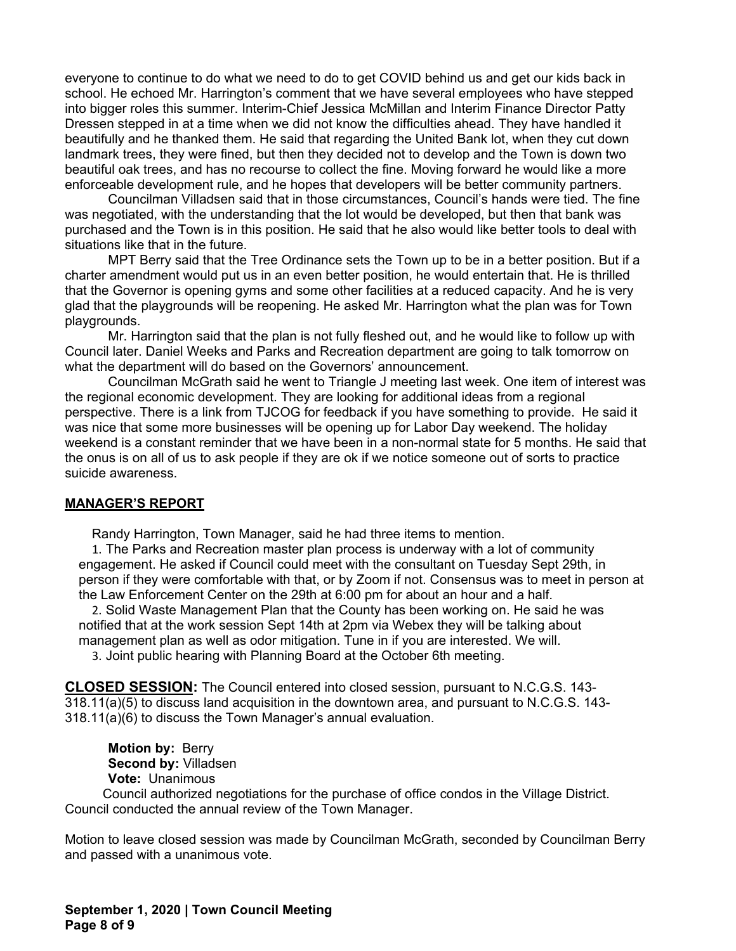everyone to continue to do what we need to do to get COVID behind us and get our kids back in school. He echoed Mr. Harrington's comment that we have several employees who have stepped into bigger roles this summer. Interim-Chief Jessica McMillan and Interim Finance Director Patty Dressen stepped in at a time when we did not know the difficulties ahead. They have handled it beautifully and he thanked them. He said that regarding the United Bank lot, when they cut down landmark trees, they were fined, but then they decided not to develop and the Town is down two beautiful oak trees, and has no recourse to collect the fine. Moving forward he would like a more enforceable development rule, and he hopes that developers will be better community partners.

Councilman Villadsen said that in those circumstances, Council's hands were tied. The fine was negotiated, with the understanding that the lot would be developed, but then that bank was purchased and the Town is in this position. He said that he also would like better tools to deal with situations like that in the future.

MPT Berry said that the Tree Ordinance sets the Town up to be in a better position. But if a charter amendment would put us in an even better position, he would entertain that. He is thrilled that the Governor is opening gyms and some other facilities at a reduced capacity. And he is very glad that the playgrounds will be reopening. He asked Mr. Harrington what the plan was for Town playgrounds.

Mr. Harrington said that the plan is not fully fleshed out, and he would like to follow up with Council later. Daniel Weeks and Parks and Recreation department are going to talk tomorrow on what the department will do based on the Governors' announcement.

Councilman McGrath said he went to Triangle J meeting last week. One item of interest was the regional economic development. They are looking for additional ideas from a regional perspective. There is a link from TJCOG for feedback if you have something to provide. He said it was nice that some more businesses will be opening up for Labor Day weekend. The holiday weekend is a constant reminder that we have been in a non-normal state for 5 months. He said that the onus is on all of us to ask people if they are ok if we notice someone out of sorts to practice suicide awareness.

#### **MANAGER'S REPORT**

Randy Harrington, Town Manager, said he had three items to mention.

1. The Parks and Recreation master plan process is underway with a lot of community engagement. He asked if Council could meet with the consultant on Tuesday Sept 29th, in person if they were comfortable with that, or by Zoom if not. Consensus was to meet in person at the Law Enforcement Center on the 29th at 6:00 pm for about an hour and a half.

2. Solid Waste Management Plan that the County has been working on. He said he was notified that at the work session Sept 14th at 2pm via Webex they will be talking about management plan as well as odor mitigation. Tune in if you are interested. We will.

3. Joint public hearing with Planning Board at the October 6th meeting.

**CLOSED SESSION:** The Council entered into closed session, pursuant to N.C.G.S. 143- 318.11(a)(5) to discuss land acquisition in the downtown area, and pursuant to N.C.G.S. 143- 318.11(a)(6) to discuss the Town Manager's annual evaluation.

 **Motion by:** Berry **Second by:** Villadsen **Vote:** Unanimous

Council authorized negotiations for the purchase of office condos in the Village District. Council conducted the annual review of the Town Manager.

Motion to leave closed session was made by Councilman McGrath, seconded by Councilman Berry and passed with a unanimous vote.